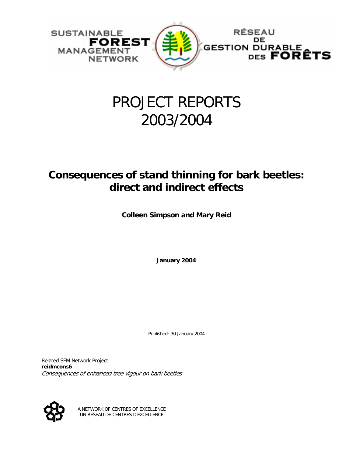

# PROJECT REPORTS 2003/2004

# **Consequences of stand thinning for bark beetles: direct and indirect effects**

**Colleen Simpson and Mary Reid** 

**January 2004** 

Published: 30 January 2004

Related SFM Network Project: **reidmcons6**  Consequences of enhanced tree vigour on bark beetles



A NETWORK OF CENTRES OF EXCELLENCE UN RÉSEAU DE CENTRES D'EXCELLENCE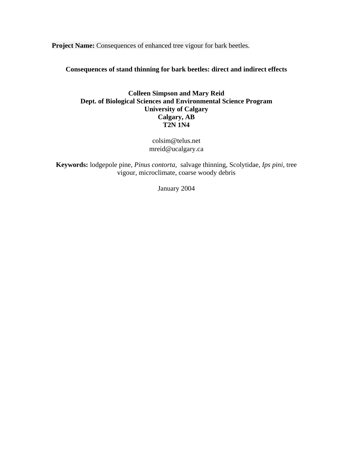**Project Name:** Consequences of enhanced tree vigour for bark beetles.

**Consequences of stand thinning for bark beetles: direct and indirect effects** 

## **Colleen Simpson and Mary Reid Dept. of Biological Sciences and Environmental Science Program University of Calgary Calgary, AB T2N 1N4**

colsim@telus.net mreid@ucalgary.ca

**Keywords:** lodgepole pine, *Pinus contorta,* salvage thinning, Scolytidae, *Ips pini*, tree vigour, microclimate, coarse woody debris

January 2004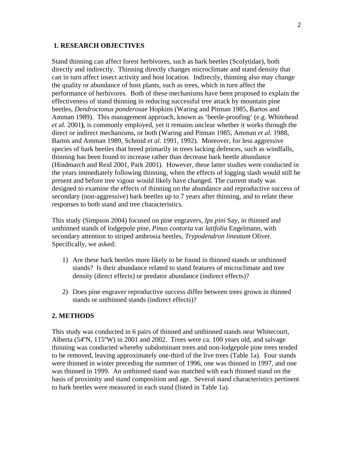#### **1. RESEARCH OBJECTIVES**

Stand thinning can affect forest herbivores, such as bark beetles (Scolytidae), both directly and indirectly. Thinning directly changes microclimate and stand density that can in turn affect insect activity and host location. Indirectly, thinning also may change the quality or abundance of host plants, such as trees, which in turn affect the performance of herbivores. Both of these mechanisms have been proposed to explain the effectiveness of stand thinning in reducing successful tree attack by mountain pine beetles, *Dendroctonus ponderosae* Hopkins (Waring and Pitman 1985, Bartos and Amman 1989). This management approach, known as 'beetle-proofing' (e.g. Whitehead *et al.* 2001**)**, is commonly employed, yet it remains unclear whether it works through the direct or indirect mechanisms, or both (Waring and Pitman 1985, Amman *et al.* 1988, Bartos and Amman 1989, Schmid *et al.* 1991, 1992). Moreover, for less aggressive species of bark beetles that breed primarily in trees lacking defences, such as windfalls, thinning has been found to increase rather than decrease bark beetle abundance (Hindmarch and Reid 2001, Park 2001). However, these latter studies were conducted in the years immediately following thinning, when the effects of logging slash would still be present and before tree vigour would likely have changed. The current study was designed to examine the effects of thinning on the abundance and reproductive success of secondary (non-aggressive) bark beetles up to 7 years after thinning, and to relate these responses to both stand and tree characteristics.

This study (Simpson 2004) focused on pine engravers, *Ips pini* Say, in thinned and unthinned stands of lodgepole pine, *Pinus contorta* var *latifolia* Engelmann, with secondary attention to striped ambrosia beetles, *Trypodendron lineatum* Oliver. Specifically, we asked:

- 1) Are these bark beetles more likely to be found in thinned stands or unthinned stands? Is their abundance related to stand features of microclimate and tree density (direct effects) or predator abundance (indirect effects)?
- 2) Does pine engraver reproductive success differ between trees grown in thinned stands or unthinned stands (indirect effects)?

#### **2. METHODS**

This study was conducted in 6 pairs of thinned and unthinned stands near Whitecourt, Alberta (54ºN, 115ºW) in 2001 and 2002. Trees were ca. 100 years old, and salvage thinning was conducted whereby subdominant trees and non-lodgepole pine trees tended to be removed, leaving approximately one-third of the live trees (Table 1a). Four stands were thinned in winter preceding the summer of 1996, one was thinned in 1997, and one was thinned in 1999. An unthinned stand was matched with each thinned stand on the basis of proximity and stand composition and age. Several stand characteristics pertinent to bark beetles were measured in each stand (listed in Table 1a).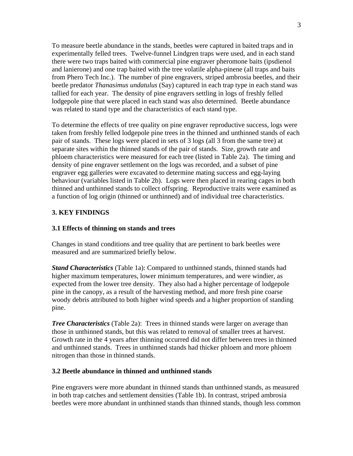To measure beetle abundance in the stands, beetles were captured in baited traps and in experimentally felled trees. Twelve-funnel Lindgren traps were used, and in each stand there were two traps baited with commercial pine engraver pheromone baits (ipsdienol and lanierone) and one trap baited with the tree volatile alpha-pinene (all traps and baits from Phero Tech Inc.). The number of pine engravers, striped ambrosia beetles, and their beetle predator *Thanasimus undatulus* (Say) captured in each trap type in each stand was tallied for each year. The density of pine engravers settling in logs of freshly felled lodgepole pine that were placed in each stand was also determined. Beetle abundance was related to stand type and the characteristics of each stand type.

To determine the effects of tree quality on pine engraver reproductive success, logs were taken from freshly felled lodgepole pine trees in the thinned and unthinned stands of each pair of stands. These logs were placed in sets of 3 logs (all 3 from the same tree) at separate sites within the thinned stands of the pair of stands. Size, growth rate and phloem characteristics were measured for each tree (listed in Table 2a). The timing and density of pine engraver settlement on the logs was recorded, and a subset of pine engraver egg galleries were excavated to determine mating success and egg-laying behaviour (variables listed in Table 2b). Logs were then placed in rearing cages in both thinned and unthinned stands to collect offspring. Reproductive traits were examined as a function of log origin (thinned or unthinned) and of individual tree characteristics.

# **3. KEY FINDINGS**

## **3.1 Effects of thinning on stands and trees**

Changes in stand conditions and tree quality that are pertinent to bark beetles were measured and are summarized briefly below.

*Stand Characteristics* (Table 1a): Compared to unthinned stands, thinned stands had higher maximum temperatures, lower minimum temperatures, and were windier, as expected from the lower tree density. They also had a higher percentage of lodgepole pine in the canopy, as a result of the harvesting method, and more fresh pine coarse woody debris attributed to both higher wind speeds and a higher proportion of standing pine.

*Tree Characteristics* (Table 2a): Trees in thinned stands were larger on average than those in unthinned stands, but this was related to removal of smaller trees at harvest. Growth rate in the 4 years after thinning occurred did not differ between trees in thinned and unthinned stands. Trees in unthinned stands had thicker phloem and more phloem nitrogen than those in thinned stands.

#### **3.2 Beetle abundance in thinned and unthinned stands**

Pine engravers were more abundant in thinned stands than unthinned stands, as measured in both trap catches and settlement densities (Table 1b). In contrast, striped ambrosia beetles were more abundant in unthinned stands than thinned stands, though less common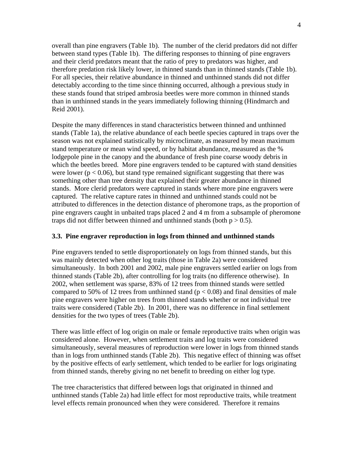overall than pine engravers (Table 1b). The number of the clerid predators did not differ between stand types (Table 1b). The differing responses to thinning of pine engravers and their clerid predators meant that the ratio of prey to predators was higher, and therefore predation risk likely lower, in thinned stands than in thinned stands (Table 1b). For all species, their relative abundance in thinned and unthinned stands did not differ detectably according to the time since thinning occurred, although a previous study in these stands found that striped ambrosia beetles were more common in thinned stands than in unthinned stands in the years immediately following thinning (Hindmarch and Reid 2001).

Despite the many differences in stand characteristics between thinned and unthinned stands (Table 1a), the relative abundance of each beetle species captured in traps over the season was not explained statistically by microclimate, as measured by mean maximum stand temperature or mean wind speed, or by habitat abundance, measured as the % lodgepole pine in the canopy and the abundance of fresh pine coarse woody debris in which the beetles breed. More pine engravers tended to be captured with stand densities were lower ( $p < 0.06$ ), but stand type remained significant suggesting that there was something other than tree density that explained their greater abundance in thinned stands. More clerid predators were captured in stands where more pine engravers were captured. The relative capture rates in thinned and unthinned stands could not be attributed to differences in the detection distance of pheromone traps, as the proportion of pine engravers caught in unbaited traps placed 2 and 4 m from a subsample of pheromone traps did not differ between thinned and unthinned stands (both  $p > 0.5$ ).

#### **3.3. Pine engraver reproduction in logs from thinned and unthinned stands**

Pine engravers tended to settle disproportionately on logs from thinned stands, but this was mainly detected when other log traits (those in Table 2a) were considered simultaneously. In both 2001 and 2002, male pine engravers settled earlier on logs from thinned stands (Table 2b), after controlling for log traits (no difference otherwise). In 2002, when settlement was sparse, 83% of 12 trees from thinned stands were settled compared to 50% of 12 trees from unthinned stand ( $p < 0.08$ ) and final densities of male pine engravers were higher on trees from thinned stands whether or not individual tree traits were considered (Table 2b). In 2001, there was no difference in final settlement densities for the two types of trees (Table 2b).

There was little effect of log origin on male or female reproductive traits when origin was considered alone. However, when settlement traits and log traits were considered simultaneously, several measures of reproduction were lower in logs from thinned stands than in logs from unthinned stands (Table 2b). This negative effect of thinning was offset by the positive effects of early settlement, which tended to be earlier for logs originating from thinned stands, thereby giving no net benefit to breeding on either log type.

The tree characteristics that differed between logs that originated in thinned and unthinned stands (Table 2a) had little effect for most reproductive traits, while treatment level effects remain pronounced when they were considered. Therefore it remains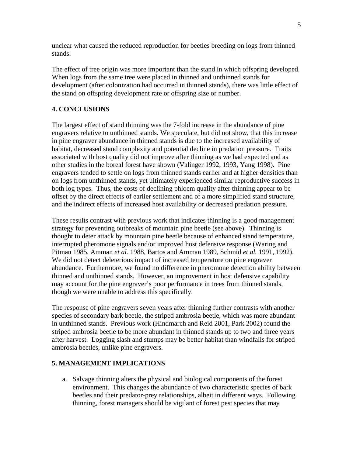unclear what caused the reduced reproduction for beetles breeding on logs from thinned stands.

The effect of tree origin was more important than the stand in which offspring developed. When logs from the same tree were placed in thinned and unthinned stands for development (after colonization had occurred in thinned stands), there was little effect of the stand on offspring development rate or offspring size or number.

## **4. CONCLUSIONS**

The largest effect of stand thinning was the 7-fold increase in the abundance of pine engravers relative to unthinned stands. We speculate, but did not show, that this increase in pine engraver abundance in thinned stands is due to the increased availability of habitat, decreased stand complexity and potential decline in predation pressure. Traits associated with host quality did not improve after thinning as we had expected and as other studies in the boreal forest have shown (Valinger 1992, 1993, Yang 1998). Pine engravers tended to settle on logs from thinned stands earlier and at higher densities than on logs from unthinned stands, yet ultimately experienced similar reproductive success in both log types. Thus, the costs of declining phloem quality after thinning appear to be offset by the direct effects of earlier settlement and of a more simplified stand structure, and the indirect effects of increased host availability or decreased predation pressure.

These results contrast with previous work that indicates thinning is a good management strategy for preventing outbreaks of mountain pine beetle (see above). Thinning is thought to deter attack by mountain pine beetle because of enhanced stand temperature, interrupted pheromone signals and/or improved host defensive response (Waring and Pitman 1985, Amman *et al.* 1988, Bartos and Amman 1989, Schmid *et al.* 1991, 1992). We did not detect deleterious impact of increased temperature on pine engraver abundance. Furthermore, we found no difference in pheromone detection ability between thinned and unthinned stands. However, an improvement in host defensive capability may account for the pine engraver's poor performance in trees from thinned stands, though we were unable to address this specifically.

The response of pine engravers seven years after thinning further contrasts with another species of secondary bark beetle, the striped ambrosia beetle, which was more abundant in unthinned stands. Previous work (Hindmarch and Reid 2001, Park 2002) found the striped ambrosia beetle to be more abundant in thinned stands up to two and three years after harvest. Logging slash and stumps may be better habitat than windfalls for striped ambrosia beetles, unlike pine engravers.

#### **5. MANAGEMENT IMPLICATIONS**

a. Salvage thinning alters the physical and biological components of the forest environment. This changes the abundance of two characteristic species of bark beetles and their predator-prey relationships, albeit in different ways. Following thinning, forest managers should be vigilant of forest pest species that may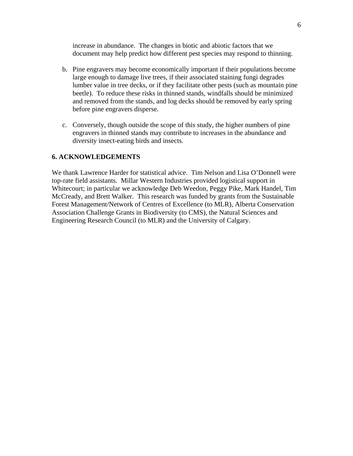increase in abundance. The changes in biotic and abiotic factors that we document may help predict how different pest species may respond to thinning.

- b. Pine engravers may become economically important if their populations become large enough to damage live trees, if their associated staining fungi degrades lumber value in tree decks, or if they facilitate other pests (such as mountain pine beetle). To reduce these risks in thinned stands, windfalls should be minimized and removed from the stands, and log decks should be removed by early spring before pine engravers disperse.
- c. Conversely, though outside the scope of this study, the higher numbers of pine engravers in thinned stands may contribute to increases in the abundance and diversity insect-eating birds and insects.

#### **6. ACKNOWLEDGEMENTS**

We thank Lawrence Harder for statistical advice. Tim Nelson and Lisa O'Donnell were top-rate field assistants. Millar Western Industries provided logistical support in Whitecourt; in particular we acknowledge Deb Weedon, Peggy Pike, Mark Handel, Tim McCready, and Brett Walker. This research was funded by grants from the Sustainable Forest Management/Network of Centres of Excellence (to MLR), Alberta Conservation Association Challenge Grants in Biodiversity (to CMS), the Natural Sciences and Engineering Research Council (to MLR) and the University of Calgary.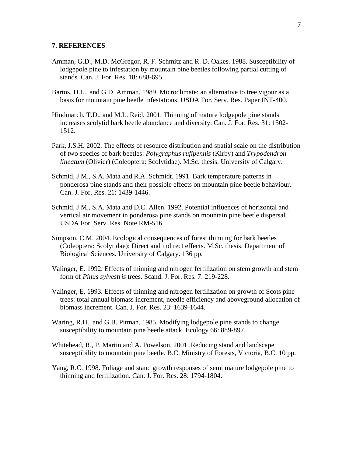#### **7. REFERENCES**

- Amman, G.D., M.D. McGregor, R. F. Schmitz and R. D. Oakes. 1988. Susceptibility of lodgepole pine to infestation by mountain pine beetles following partial cutting of stands. Can. J. For. Res. 18: 688-695.
- Bartos, D.L., and G.D. Amman. 1989. Microclimate: an alternative to tree vigour as a basis for mountain pine beetle infestations. USDA For. Serv. Res. Paper INT-400.
- Hindmarch, T.D., and M.L. Reid. 2001. Thinning of mature lodgepole pine stands increases scolytid bark beetle abundance and diversity. Can. J. For. Res. 31: 1502- 1512.
- Park, J.S.H. 2002. The effects of resource distribution and spatial scale on the distribution of two species of bark beetles: *Polygraphus rufipennis* (Kirby) and *Trypodendron lineatum* (Olivier) (Coleoptera: Scolytidae). M.Sc. thesis. University of Calgary.
- Schmid, J.M., S.A. Mata and R.A. Schmidt. 1991. Bark temperature patterns in ponderosa pine stands and their possible effects on mountain pine beetle behaviour. Can. J. For. Res. 21: 1439-1446.
- Schmid, J.M., S.A. Mata and D.C. Allen. 1992. Potential influences of horizontal and vertical air movement in ponderosa pine stands on mountain pine beetle dispersal. USDA For. Serv. Res. Note RM-516.
- Simpson, C.M. 2004. Ecological consequences of forest thinning for bark beetles (Coleoptera: Scolytidae): Direct and indirect effects. M.Sc. thesis. Department of Biological Sciences. University of Calgary. 136 pp.
- Valinger, E. 1992. Effects of thinning and nitrogen fertilization on stem growth and stem form of *Pinus sylvestris* trees. Scand. J. For. Res. 7: 219-228.
- Valinger, E. 1993. Effects of thinning and nitrogen fertilization on growth of Scots pine trees: total annual biomass increment, needle efficiency and aboveground allocation of biomass increment. Can. J. For. Res. 23: 1639-1644.
- Waring, R.H., and G.B. Pitman. 1985. Modifying lodgepole pine stands to change susceptibility to mountain pine beetle attack. Ecology 66: 889-897.
- Whitehead, R., P. Martin and A. Powelson. 2001. Reducing stand and landscape susceptibility to mountain pine beetle. B.C. Ministry of Forests, Victoria, B.C. 10 pp.
- Yang, R.C. 1998. Foliage and stand growth responses of semi mature lodgepole pine to thinning and fertilization. Can. J. For. Res. 28: 1794-1804.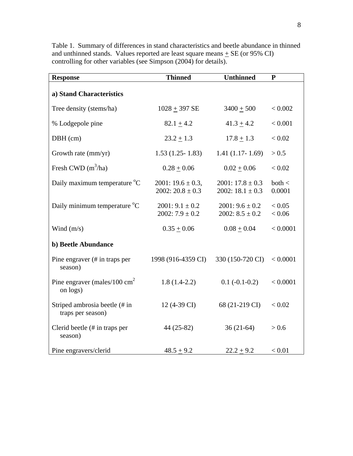| <b>Response</b>                                      | Thinned                                      | <b>Unthinned</b>                             | ${\bf P}$        |
|------------------------------------------------------|----------------------------------------------|----------------------------------------------|------------------|
| a) Stand Characteristics                             |                                              |                                              |                  |
| Tree density (stems/ha)                              | $1028 + 397$ SE                              | $3400 + 500$                                 |                  |
| % Lodgepole pine                                     | $82.1 \pm 4.2$                               | $41.3 \pm 4.2$                               | < 0.001          |
| $DBH$ (cm)                                           | $23.2 \pm 1.3$                               | $17.8 + 1.3$                                 | < 0.02           |
| Growth rate (mm/yr)                                  | $1.53(1.25 - 1.83)$                          | $1.41(1.17-1.69)$                            | > 0.5            |
| Fresh CWD $(m^3/ha)$                                 | $0.28 \pm 0.06$                              | $0.02 \pm 0.06$                              | < 0.02           |
| Daily maximum temperature °C                         | $2001: 19.6 \pm 0.3,$<br>$2002:20.8 \pm 0.3$ | $2001: 17.8 \pm 0.3$<br>2002: $18.1 \pm 0.3$ | both <<br>0.0001 |
| Daily minimum temperature <sup>o</sup> C             | $2001: 9.1 \pm 0.2$<br>$2002: 7.9 \pm 0.2$   | $2001:9.6 \pm 0.2$<br>$2002: 8.5 \pm 0.2$    | < 0.05<br>< 0.06 |
| Wind $(m/s)$                                         | $0.35 \pm 0.06$                              | $0.08 \pm 0.04$                              | < 0.0001         |
| b) Beetle Abundance                                  |                                              |                                              |                  |
| Pine engraver $(\# \text{ in traps per})$<br>season) | 1998 (916-4359 CI)                           | 330 (150-720 CI)                             | < 0.0001         |
| Pine engraver (males/100 $\text{cm}^2$ )<br>on logs) | $1.8(1.4-2.2)$                               | $0.1(-0.1-0.2)$                              | < 0.0001         |
| Striped ambrosia beetle (# in<br>traps per season)   | 12 (4-39 CI)                                 | 68 (21-219 CI)                               | < 0.02           |
| Clerid beetle $#$ in traps per<br>season)            | 44 (25-82)                                   | $36(21-64)$                                  |                  |
| Pine engravers/clerid                                | $48.5 + 9.2$                                 | $22.2 + 9.2$                                 | < 0.01           |

Table 1. Summary of differences in stand characteristics and beetle abundance in thinned and unthinned stands. Values reported are least square means  $\pm$  SE (or 95% CI) controlling for other variables (see Simpson (2004) for details).